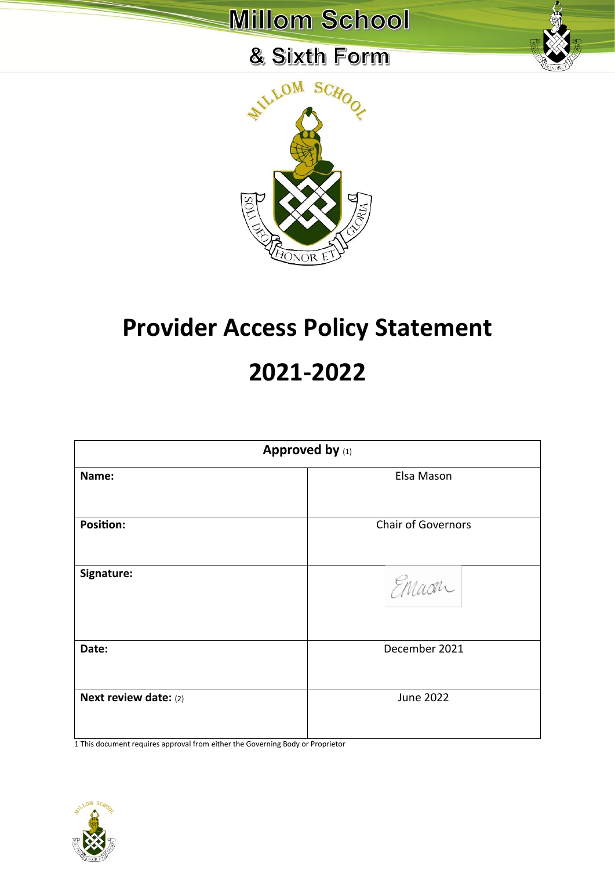### & Sixth Form



# **Provider Access Policy Statement 2021-2022**

| Approved by (1)       |                           |  |  |
|-----------------------|---------------------------|--|--|
| Name:                 | Elsa Mason                |  |  |
| <b>Position:</b>      | <b>Chair of Governors</b> |  |  |
| Signature:            | Emaon                     |  |  |
| Date:                 | December 2021             |  |  |
| Next review date: (2) | <b>June 2022</b>          |  |  |

1 This document requires approval from either the Governing Body or Proprietor

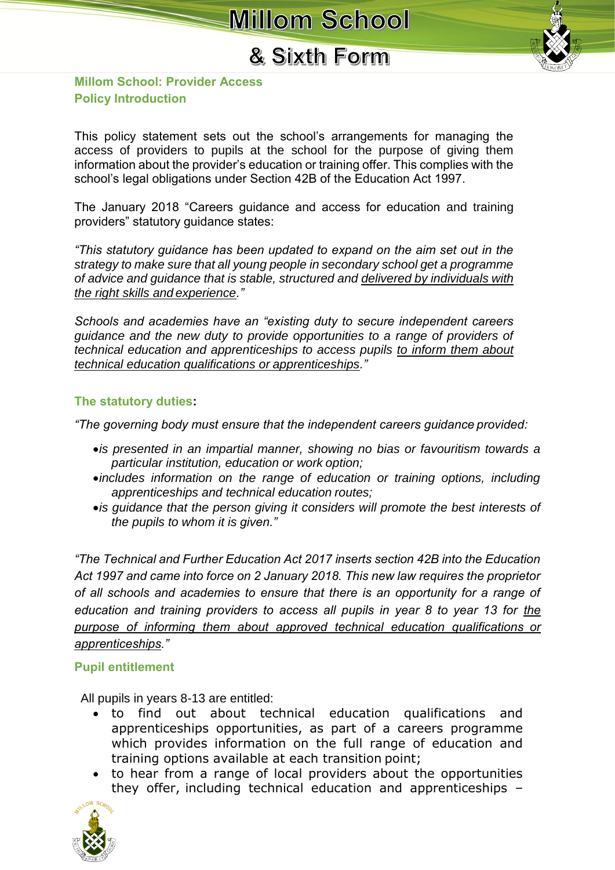### & Sixth Form



#### **Millom School: Provider Access Policy Introduction**

This policy statement sets out the school's arrangements for managing the access of providers to pupils at the school for the purpose of giving them information about the provider's education or training offer. This complies with the school's legal obligations under Section 42B of the Education Act 1997.

The January 2018 "Careers guidance and access for education and training providers" statutory guidance states:

*"This statutory guidance has been updated to expand on the aim set out in the strategy to make sure that all young people in secondary school get a programme of advice and guidance that is stable, structured and delivered by individuals with the right skills and experience."*

*Schools and academies have an "existing duty to secure independent careers guidance and the new duty to provide opportunities to a range of providers of technical education and apprenticeships to access pupils to inform them about technical education qualifications or apprenticeships."*

#### **The statutory duties:**

*"The governing body must ensure that the independent careers guidance provided:*

- •*is presented in an impartial manner, showing no bias or favouritism towards a particular institution, education or work option;*
- •*includes information on the range of education or training options, including apprenticeships and technical education routes;*
- •*is guidance that the person giving it considers will promote the best interests of the pupils to whom it is given."*

*"The Technical and Further Education Act 2017 inserts section 42B into the Education Act 1997 and came into force on 2 January 2018. This new law requires the proprietor of all schools and academies to ensure that there is an opportunity for a range of education and training providers to access all pupils in year 8 to year 13 for the purpose of informing them about approved technical education qualifications or apprenticeships."*

#### **Pupil entitlement**

All pupils in years 8-13 are entitled:

- to find out about technical education qualifications and apprenticeships opportunities, as part of a careers programme which provides information on the full range of education and training options available at each transition point;
- to hear from a range of local providers about the opportunities they offer, including technical education and apprenticeships –

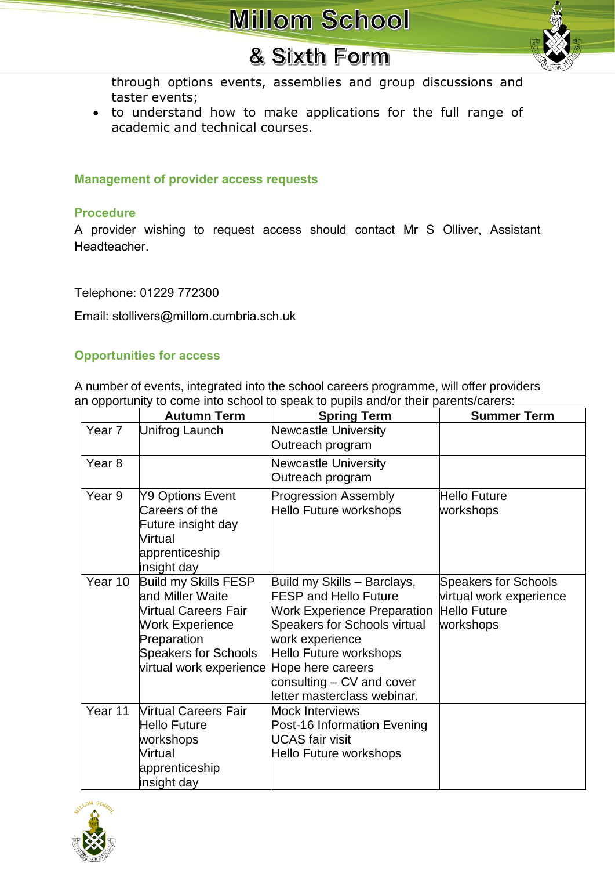### & Sixth Form

through options events, assemblies and group discussions and taster events;

• to understand how to make applications for the full range of academic and technical courses.

#### **Management of provider access requests**

#### **Procedure**

A provider wishing to request access should contact Mr S Olliver, Assistant **Headteacher** 

Telephone: 01229 772300

Email: stollivers@millom.cumbria.sch.uk

#### **Opportunities for access**

A number of events, integrated into the school careers programme, will offer providers an opportunity to come into school to speak to pupils and/or their parents/carers:

|                   | <b>Autumn Term</b>                                                                                                                                                         | <b>Spring Term</b>                                                                                                                                                                                                                                              | <b>Summer Term</b>                                                                         |
|-------------------|----------------------------------------------------------------------------------------------------------------------------------------------------------------------------|-----------------------------------------------------------------------------------------------------------------------------------------------------------------------------------------------------------------------------------------------------------------|--------------------------------------------------------------------------------------------|
| Year 7            | Unifrog Launch                                                                                                                                                             | <b>Newcastle University</b><br>Outreach program                                                                                                                                                                                                                 |                                                                                            |
| Year <sub>8</sub> |                                                                                                                                                                            | <b>Newcastle University</b><br>Outreach program                                                                                                                                                                                                                 |                                                                                            |
| Year 9            | Y9 Options Event<br>Careers of the<br>Future insight day<br>Virtual<br>apprenticeship<br>insight day                                                                       | <b>Progression Assembly</b><br>Hello Future workshops                                                                                                                                                                                                           | <b>Hello Future</b><br>workshops                                                           |
| Year 10           | Build my Skills FESP<br>and Miller Waite<br><b>Nirtual Careers Fair</b><br><b>Work Experience</b><br>Preparation<br><b>Speakers for Schools</b><br>virtual work experience | Build my Skills - Barclays,<br><b>FESP and Hello Future</b><br><b>Work Experience Preparation</b><br>Speakers for Schools virtual<br>work experience<br>Hello Future workshops<br>Hope here careers<br>consulting – CV and cover<br>letter masterclass webinar. | <b>Speakers for Schools</b><br>virtual work experience<br><b>Hello Future</b><br>workshops |
| Year 11           | <b>Virtual Careers Fair</b><br>Hello Future<br>workshops<br><b>Virtual</b><br>apprenticeship<br>insight day                                                                | Mock Interviews<br>Post-16 Information Evening<br><b>UCAS</b> fair visit<br>Hello Future workshops                                                                                                                                                              |                                                                                            |

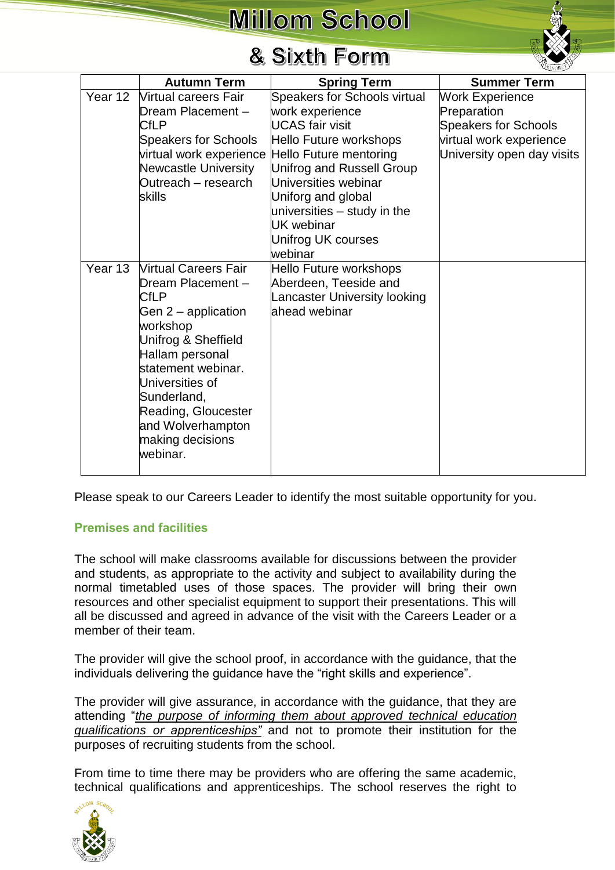### & Sixth Form

|         | <b>Autumn Term</b>                                                                                                                                                                                                                                                                 | <b>Spring Term</b>                                                                                                                                                                                                                                                                     | <b>Summer Term</b>                                                                                                            |
|---------|------------------------------------------------------------------------------------------------------------------------------------------------------------------------------------------------------------------------------------------------------------------------------------|----------------------------------------------------------------------------------------------------------------------------------------------------------------------------------------------------------------------------------------------------------------------------------------|-------------------------------------------------------------------------------------------------------------------------------|
| Year 12 | <b>Nirtual careers Fair</b><br>Dream Placement -<br><b>CfLP</b><br><b>Speakers for Schools</b><br>virtual work experience<br><b>Newcastle University</b><br>Outreach - research<br>skills                                                                                          | Speakers for Schools virtual<br>work experience<br>UCAS fair visit<br>Hello Future workshops<br>Hello Future mentoring<br>Unifrog and Russell Group<br>Universities webinar<br>Uniforg and global<br>universities – study in the<br><b>UK</b> webinar<br>Unifrog UK courses<br>webinar | <b>Work Experience</b><br>Preparation<br><b>Speakers for Schools</b><br>virtual work experience<br>University open day visits |
| Year 13 | <b>Virtual Careers Fair</b><br>Dream Placement -<br><b>CfLP</b><br>Gen $2$ – application<br>workshop<br>Unifrog & Sheffield<br>Hallam personal<br>statement webinar.<br>Universities of<br>Sunderland,<br>Reading, Gloucester<br>and Wolverhampton<br>making decisions<br>webinar. | Hello Future workshops<br>Aberdeen, Teeside and<br>Lancaster University looking<br>ahead webinar                                                                                                                                                                                       |                                                                                                                               |

Please speak to our Careers Leader to identify the most suitable opportunity for you.

#### **Premises and facilities**

The school will make classrooms available for discussions between the provider and students, as appropriate to the activity and subject to availability during the normal timetabled uses of those spaces. The provider will bring their own resources and other specialist equipment to support their presentations. This will all be discussed and agreed in advance of the visit with the Careers Leader or a member of their team.

The provider will give the school proof, in accordance with the guidance, that the individuals delivering the guidance have the "right skills and experience".

The provider will give assurance, in accordance with the guidance, that they are attending "*the purpose of informing them about approved technical education qualifications or apprenticeships"* and not to promote their institution for the purposes of recruiting students from the school.

From time to time there may be providers who are offering the same academic, technical qualifications and apprenticeships. The school reserves the right to